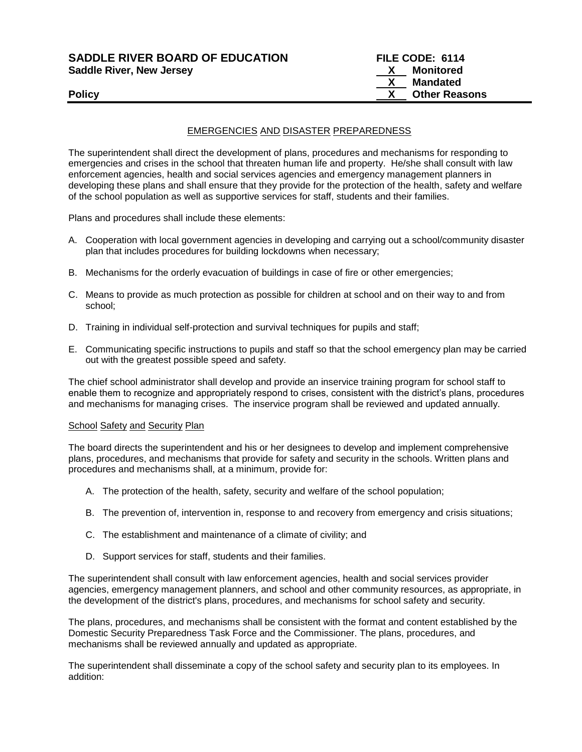# **SADDLE RIVER BOARD OF EDUCATION FILE CODE: 6114 Saddle River, New Jersey Manual Community Community Community Community Community Community Community Community Community Community Community Community Community Community Community Community Community Community Community**

# **X Mandated** Policy **CONSERVANT CONSERVANT CONSERVANT CONSERVANT CONSERVANT CONSERVANT CONSERVANT CONSERVANT CONSERVANT CONSERVANT CONSERVANT CONSERVANT CONSERVANT CONSERVANT CONSERVANT CONSERVANT CONSERVANT CONSERVANT CONSERVANT CONSE**

# EMERGENCIES AND DISASTER PREPAREDNESS

The superintendent shall direct the development of plans, procedures and mechanisms for responding to emergencies and crises in the school that threaten human life and property. He/she shall consult with law enforcement agencies, health and social services agencies and emergency management planners in developing these plans and shall ensure that they provide for the protection of the health, safety and welfare of the school population as well as supportive services for staff, students and their families.

Plans and procedures shall include these elements:

- A. Cooperation with local government agencies in developing and carrying out a school/community disaster plan that includes procedures for building lockdowns when necessary;
- B. Mechanisms for the orderly evacuation of buildings in case of fire or other emergencies;
- C. Means to provide as much protection as possible for children at school and on their way to and from school;
- D. Training in individual self-protection and survival techniques for pupils and staff;
- E. Communicating specific instructions to pupils and staff so that the school emergency plan may be carried out with the greatest possible speed and safety.

The chief school administrator shall develop and provide an inservice training program for school staff to enable them to recognize and appropriately respond to crises, consistent with the district's plans, procedures and mechanisms for managing crises. The inservice program shall be reviewed and updated annually.

### School Safety and Security Plan

The board directs the superintendent and his or her designees to develop and implement comprehensive plans, procedures, and mechanisms that provide for safety and security in the schools. Written plans and procedures and mechanisms shall, at a minimum, provide for:

- A. The protection of the health, safety, security and welfare of the school population;
- B. The prevention of, intervention in, response to and recovery from emergency and crisis situations;
- C. The establishment and maintenance of a climate of civility; and
- D. Support services for staff, students and their families.

The superintendent shall consult with law enforcement agencies, health and social services provider agencies, emergency management planners, and school and other community resources, as appropriate, in the development of the district's plans, procedures, and mechanisms for school safety and security.

The plans, procedures, and mechanisms shall be consistent with the format and content established by the Domestic Security Preparedness Task Force and the Commissioner. The plans, procedures, and mechanisms shall be reviewed annually and updated as appropriate.

The superintendent shall disseminate a copy of the school safety and security plan to its employees. In addition: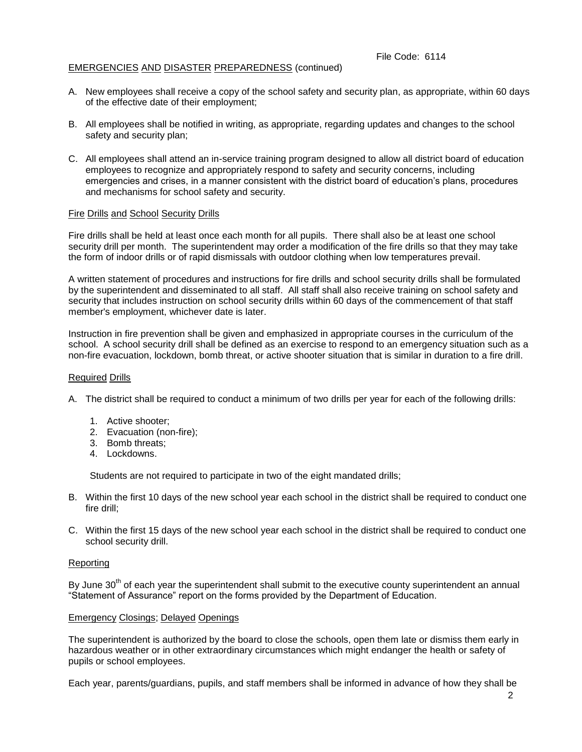# EMERGENCIES AND DISASTER PREPAREDNESS (continued)

- A. New employees shall receive a copy of the school safety and security plan, as appropriate, within 60 days of the effective date of their employment;
- B. All employees shall be notified in writing, as appropriate, regarding updates and changes to the school safety and security plan;
- C. All employees shall attend an in-service training program designed to allow all district board of education employees to recognize and appropriately respond to safety and security concerns, including emergencies and crises, in a manner consistent with the district board of education's plans, procedures and mechanisms for school safety and security.

# Fire Drills and School Security Drills

Fire drills shall be held at least once each month for all pupils. There shall also be at least one school security drill per month. The superintendent may order a modification of the fire drills so that they may take the form of indoor drills or of rapid dismissals with outdoor clothing when low temperatures prevail.

A written statement of procedures and instructions for fire drills and school security drills shall be formulated by the superintendent and disseminated to all staff. All staff shall also receive training on school safety and security that includes instruction on school security drills within 60 days of the commencement of that staff member's employment, whichever date is later.

Instruction in fire prevention shall be given and emphasized in appropriate courses in the curriculum of the school. A school security drill shall be defined as an exercise to respond to an emergency situation such as a non-fire evacuation, lockdown, bomb threat, or active shooter situation that is similar in duration to a fire drill.

#### Required Drills

- A. The district shall be required to conduct a minimum of two drills per year for each of the following drills:
	- 1. Active shooter;
	- 2. Evacuation (non-fire);
	- 3. Bomb threats;
	- 4. Lockdowns.

Students are not required to participate in two of the eight mandated drills;

- B. Within the first 10 days of the new school year each school in the district shall be required to conduct one fire drill;
- C. Within the first 15 days of the new school year each school in the district shall be required to conduct one school security drill.

### Reporting

By June 30<sup>th</sup> of each year the superintendent shall submit to the executive county superintendent an annual "Statement of Assurance" report on the forms provided by the Department of Education.

### Emergency Closings; Delayed Openings

The superintendent is authorized by the board to close the schools, open them late or dismiss them early in hazardous weather or in other extraordinary circumstances which might endanger the health or safety of pupils or school employees.

Each year, parents/guardians, pupils, and staff members shall be informed in advance of how they shall be